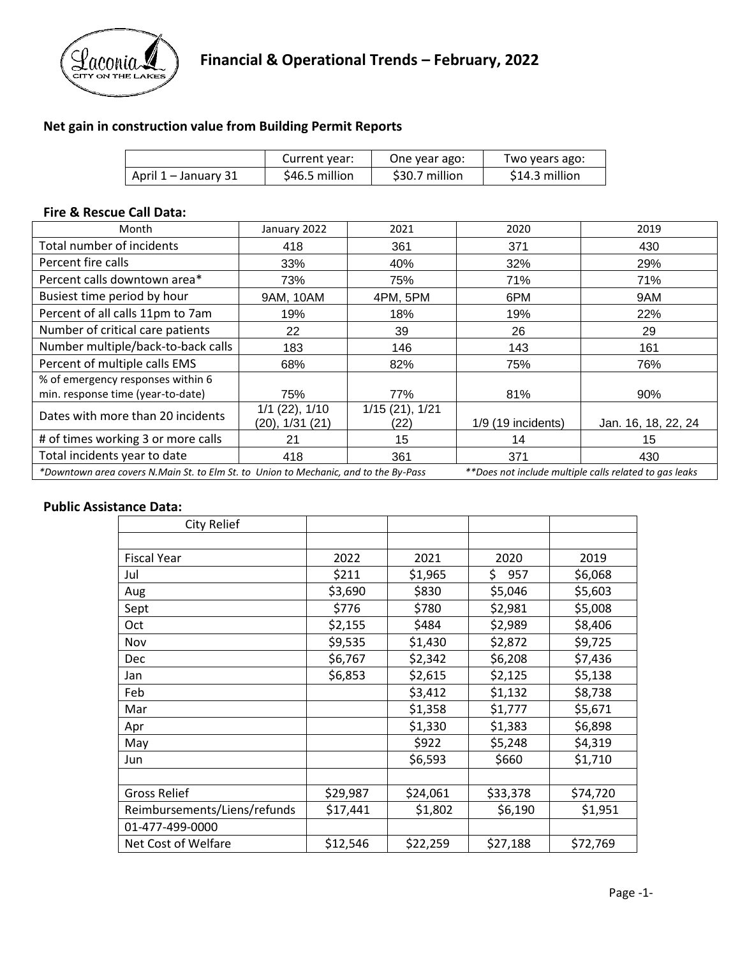

### **Net gain in construction value from Building Permit Reports**

|                      | Current year:  | One year ago:  | Two years ago: |
|----------------------|----------------|----------------|----------------|
| April 1 – January 31 | \$46.5 million | \$30.7 million | \$14.3 million |

#### **Fire & Rescue Call Data:**

| Month                                                                                | January 2022                          | 2021                   | 2020                 | 2019                                                   |
|--------------------------------------------------------------------------------------|---------------------------------------|------------------------|----------------------|--------------------------------------------------------|
| Total number of incidents                                                            | 418                                   | 361                    | 371                  | 430                                                    |
| Percent fire calls                                                                   | 33%                                   | 40%                    | 32%                  | 29%                                                    |
| Percent calls downtown area*                                                         | 73%                                   | 75%                    | 71%                  | 71%                                                    |
| Busiest time period by hour                                                          | 9AM, 10AM                             | 4PM, 5PM               | 6PM                  | 9AM                                                    |
| Percent of all calls 11pm to 7am                                                     | 19%                                   | 18%                    | 19%                  | 22%                                                    |
| Number of critical care patients                                                     | 22                                    | 39                     | 26                   | 29                                                     |
| Number multiple/back-to-back calls                                                   | 183                                   | 146                    | 143                  | 161                                                    |
| Percent of multiple calls EMS                                                        | 68%                                   | 82%                    | 75%                  | 76%                                                    |
| % of emergency responses within 6                                                    |                                       |                        |                      |                                                        |
| min. response time (year-to-date)                                                    | 75%                                   | 77%                    | 81%                  | 90%                                                    |
| Dates with more than 20 incidents                                                    | $1/1$ (22), $1/10$<br>(20), 1/31 (21) | 1/15(21), 1/21<br>(22) | $1/9$ (19 incidents) | Jan. 16, 18, 22, 24                                    |
| # of times working 3 or more calls                                                   | 21                                    | 15                     | 14                   | 15                                                     |
| Total incidents year to date                                                         | 418                                   | 361                    | 371                  | 430                                                    |
| *Downtown area covers N.Main St. to Elm St. to Union to Mechanic, and to the By-Pass |                                       |                        |                      | **Does not include multiple calls related to gas leaks |

#### **Public Assistance Data:**

| City Relief                  |          |          |            |          |
|------------------------------|----------|----------|------------|----------|
|                              |          |          |            |          |
| <b>Fiscal Year</b>           | 2022     | 2021     | 2020       | 2019     |
| Jul                          | \$211    | \$1,965  | \$.<br>957 | \$6,068  |
| Aug                          | \$3,690  | \$830    | \$5,046    | \$5,603  |
| Sept                         | \$776    | \$780    | \$2,981    | \$5,008  |
| Oct                          | \$2,155  | \$484    | \$2,989    | \$8,406  |
| Nov                          | \$9,535  | \$1,430  | \$2,872    | \$9,725  |
| Dec                          | \$6,767  | \$2,342  | \$6,208    | \$7,436  |
| Jan                          | \$6,853  | \$2,615  | \$2,125    | \$5,138  |
| Feb                          |          | \$3,412  | \$1,132    | \$8,738  |
| Mar                          |          | \$1,358  | \$1,777    | \$5,671  |
| Apr                          |          | \$1,330  | \$1,383    | \$6,898  |
| May                          |          | \$922    | \$5,248    | \$4,319  |
| Jun                          |          | \$6,593  | \$660      | \$1,710  |
|                              |          |          |            |          |
| <b>Gross Relief</b>          | \$29,987 | \$24,061 | \$33,378   | \$74,720 |
| Reimbursements/Liens/refunds | \$17,441 | \$1,802  | \$6,190    | \$1,951  |
| 01-477-499-0000              |          |          |            |          |
| Net Cost of Welfare          | \$12,546 | \$22,259 | \$27,188   | \$72,769 |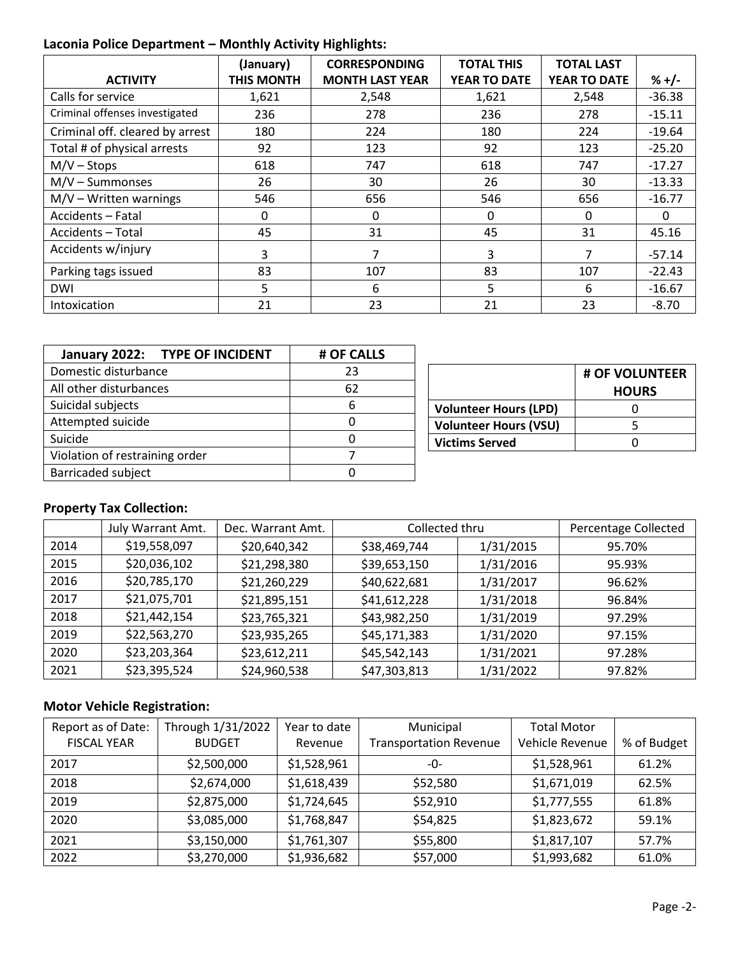## **Laconia Police Department – Monthly Activity Highlights:**

|                                 | (January)         | <b>CORRESPONDING</b>   | <b>TOTAL THIS</b>   | <b>TOTAL LAST</b> |          |
|---------------------------------|-------------------|------------------------|---------------------|-------------------|----------|
| <b>ACTIVITY</b>                 | <b>THIS MONTH</b> | <b>MONTH LAST YEAR</b> | <b>YEAR TO DATE</b> | YEAR TO DATE      | $% +/-$  |
| Calls for service               | 1,621             | 2,548                  | 1,621               | 2,548             | $-36.38$ |
| Criminal offenses investigated  | 236               | 278                    | 236                 | 278               | $-15.11$ |
| Criminal off. cleared by arrest | 180               | 224                    | 180                 | 224               | $-19.64$ |
| Total # of physical arrests     | 92                | 123                    | 92                  | 123               | $-25.20$ |
| $M/V -$ Stops                   | 618               | 747                    | 618                 | 747               | $-17.27$ |
| $M/V - Summonses$               | 26                | 30                     | 26                  | 30                | $-13.33$ |
| $M/V - W$ ritten warnings       | 546               | 656                    | 546                 | 656               | $-16.77$ |
| Accidents - Fatal               | <sup>0</sup>      | 0                      | 0                   | 0                 | 0        |
| Accidents - Total               | 45                | 31                     | 45                  | 31                | 45.16    |
| Accidents w/injury              | 3                 | 7                      | 3                   | 7                 | $-57.14$ |
| Parking tags issued             | 83                | 107                    | 83                  | 107               | $-22.43$ |
| <b>DWI</b>                      | 5                 | 6                      | 5                   | 6                 | $-16.67$ |
| Intoxication                    | 21                | 23                     | 21                  | 23                | $-8.70$  |

| January 2022: TYPE OF INCIDENT | # OF CALLS |  |  |  |
|--------------------------------|------------|--|--|--|
| Domestic disturbance           | 23         |  |  |  |
| All other disturbances         | 62         |  |  |  |
| Suicidal subjects              | 6          |  |  |  |
| Attempted suicide              |            |  |  |  |
| Suicide                        |            |  |  |  |
| Violation of restraining order |            |  |  |  |
| <b>Barricaded subject</b>      |            |  |  |  |

|                              | # OF VOLUNTEER<br><b>HOURS</b> |
|------------------------------|--------------------------------|
| <b>Volunteer Hours (LPD)</b> |                                |
| <b>Volunteer Hours (VSU)</b> |                                |
| <b>Victims Served</b>        |                                |

## **Property Tax Collection:**

|      | July Warrant Amt. | Dec. Warrant Amt. | Collected thru |           | Percentage Collected |
|------|-------------------|-------------------|----------------|-----------|----------------------|
| 2014 | \$19,558,097      | \$20,640,342      | \$38,469,744   | 1/31/2015 | 95.70%               |
| 2015 | \$20,036,102      | \$21,298,380      | \$39,653,150   | 1/31/2016 | 95.93%               |
| 2016 | \$20,785,170      | \$21,260,229      | \$40,622,681   | 1/31/2017 | 96.62%               |
| 2017 | \$21,075,701      | \$21,895,151      | \$41,612,228   | 1/31/2018 | 96.84%               |
| 2018 | \$21,442,154      | \$23,765,321      | \$43,982,250   | 1/31/2019 | 97.29%               |
| 2019 | \$22,563,270      | \$23,935,265      | \$45,171,383   | 1/31/2020 | 97.15%               |
| 2020 | \$23,203,364      | \$23,612,211      | \$45,542,143   | 1/31/2021 | 97.28%               |
| 2021 | \$23,395,524      | \$24,960,538      | \$47,303,813   | 1/31/2022 | 97.82%               |

## **Motor Vehicle Registration:**

| Report as of Date:<br><b>FISCAL YEAR</b> | Through 1/31/2022<br><b>BUDGET</b> | Year to date<br>Revenue | Municipal<br><b>Transportation Revenue</b> | <b>Total Motor</b><br>Vehicle Revenue | % of Budget |
|------------------------------------------|------------------------------------|-------------------------|--------------------------------------------|---------------------------------------|-------------|
|                                          |                                    |                         |                                            |                                       |             |
| 2017                                     | \$2,500,000                        | \$1,528,961             | -0-                                        | \$1,528,961                           | 61.2%       |
| 2018                                     | \$2,674,000                        | \$1,618,439             | \$52,580                                   | \$1,671,019                           | 62.5%       |
| 2019                                     | \$2,875,000                        | \$1,724,645             | \$52,910                                   | \$1,777,555                           | 61.8%       |
| 2020                                     | \$3,085,000                        | \$1,768,847             | \$54,825                                   | \$1,823,672                           | 59.1%       |
| 2021                                     | \$3,150,000                        | \$1,761,307             | \$55,800                                   | \$1,817,107                           | 57.7%       |
| 2022                                     | \$3,270,000                        | \$1,936,682             | \$57,000                                   | \$1,993,682                           | 61.0%       |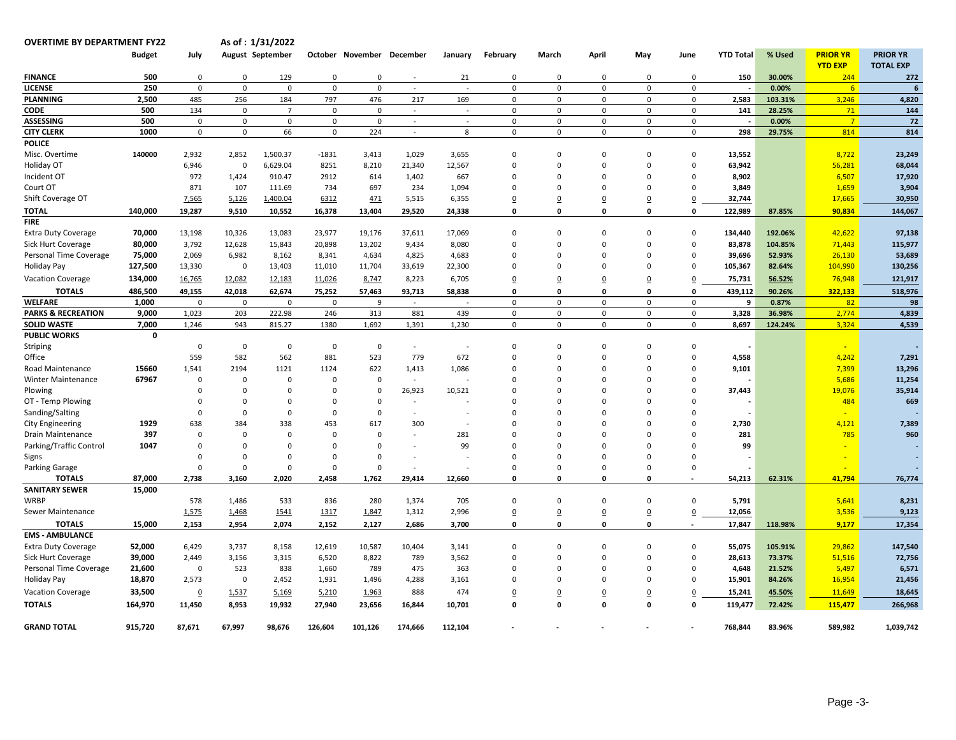| <b>OVERTIME BY DEPARTMENT FY22</b>     |                       |                      |               | As of: 1/31/2022           |               |                           |                |         |                      |                         |                         |                         |                            |                  |         |                 |                  |
|----------------------------------------|-----------------------|----------------------|---------------|----------------------------|---------------|---------------------------|----------------|---------|----------------------|-------------------------|-------------------------|-------------------------|----------------------------|------------------|---------|-----------------|------------------|
|                                        | <b>Budget</b>         | July                 |               | August September           |               | October November December |                | January | February             | March                   | April                   | May                     | June                       | <b>YTD Total</b> | % Used  | <b>PRIOR YR</b> | <b>PRIOR YR</b>  |
|                                        |                       |                      |               |                            |               |                           |                |         |                      |                         |                         |                         |                            |                  |         | <b>YTD EXP</b>  | <b>TOTAL EXP</b> |
| <b>FINANCE</b>                         | 500                   | $\mathbf 0$          | $\Omega$      | 129                        | $\mathbf 0$   | $\Omega$                  |                | 21      | 0                    | $\Omega$                | $\Omega$                | $\mathbf 0$             | $\Omega$                   | 150              | 30.00%  | 244             | 272              |
| <b>LICENSE</b>                         | 250                   | $\mathsf 0$          | $\mathbf 0$   | $\mathbf 0$                | $\mathsf 0$   | $\mathbf 0$               | $\omega$       | $\sim$  | $\mathbf 0$          | $\mathsf 0$             | $\mathsf 0$             | $\mathbf 0$             | $\mathbf 0$                |                  | 0.00%   | 6 <sup>1</sup>  |                  |
| <b>PLANNING</b>                        | 2,500                 | 485                  | 256           | 184                        | 797           | 476                       | 217            | 169     | $\mathbf 0$          | 0                       | $\mathbf 0$             | $\mathbf 0$             | $\mathsf 0$                | 2,583            | 103.31% | 3,246           | 4,820            |
| <b>CODE</b>                            | 500                   | 134                  | $\mathsf 0$   | $\overline{7}$             | $\Omega$      | $\Omega$                  | $\sim$         | $\sim$  | $\Omega$             | 0                       | $\mathsf 0$             | $\mathbf 0$             | $\mathbf 0$                | 141              | 28.25%  | 71              | 144              |
| <b>ASSESSING</b>                       | 500                   | $\mathbf 0$          | 0             | $\mathbf 0$                | $\mathbf 0$   | $\mathbf 0$               | $\blacksquare$ |         | 0                    | 0                       | $\mathsf 0$             | $\mathbf 0$             | $\mathbf 0$                |                  | 0.00%   | 7 <sup>7</sup>  | 72               |
| <b>CITY CLERK</b>                      | 1000                  | $\mathbf 0$          | $\mathsf 0$   | 66                         | $\mathbf 0$   | 224                       | $\sim$         | 8       | $\mathbf 0$          | 0                       | $\mathsf 0$             | $\mathbf 0$             | $\mathsf 0$                | 298              | 29.75%  | 814             | 814              |
| <b>POLICE</b>                          |                       |                      |               |                            |               |                           |                |         |                      |                         |                         |                         |                            |                  |         |                 |                  |
| Misc. Overtime                         | 140000                | 2,932                | 2,852         | 1,500.37                   | $-1831$       | 3,413                     | 1,029          | 3,655   | $\Omega$             | $\Omega$                | $\overline{0}$          | $\mathbf 0$             | $\mathbf 0$                | 13,552           |         | 8,722           | 23,249           |
| Holiday OT                             |                       | 6,946                | $\mathbf 0$   | 6,629.04                   | 8251          | 8,210                     | 21,340         | 12,567  | $\Omega$             | $\Omega$                | $\overline{0}$          | $\mathbf 0$             | $\mathbf 0$                | 63,942           |         | 56,281          | 68,044           |
| Incident OT                            |                       | 972                  | 1,424         | 910.47                     | 2912          | 614                       | 1,402          | 667     | $\Omega$             | $\mathbf 0$             | $\overline{0}$          | $\mathbf 0$             | $\mathbf 0$                | 8,902            |         | 6,507           | 17,920           |
| Court OT                               |                       | 871                  | 107           | 111.69                     | 734           | 697                       | 234            | 1,094   | $\Omega$             | $\Omega$                | $\mathbf 0$             | 0                       | $\mathbf 0$                | 3,849            |         | 1,659           | 3,904            |
| Shift Coverage OT                      |                       | 7,565                | 5,126         | 1,400.04                   | 6312          | 471                       | 5,515          | 6,355   | 0                    | 0                       | $\overline{0}$          | $\underline{0}$         | $\overline{0}$             | 32,744           |         | 17,665          | 30,950           |
| <b>TOTAL</b>                           | 140,000               | 19,287               | 9,510         | 10,552                     | 16,378        | 13,404                    | 29,520         | 24,338  | 0                    | 0                       | 0                       | $\mathbf 0$             | $\mathbf 0$                | 122,989          | 87.85%  | 90,834          | 144,067          |
| <b>FIRE</b>                            |                       |                      |               |                            |               |                           |                |         |                      |                         |                         |                         |                            |                  |         |                 |                  |
| <b>Extra Duty Coverage</b>             | 70,000                | 13,198               | 10,326        | 13,083                     | 23,977        | 19,176                    | 37,611         | 17,069  | $\mathbf 0$          | $\mathbf 0$             | $\overline{0}$          | $\mathbf 0$             | $\mathbf 0$                | 134,440          | 192.06% | 42,622          | 97,138           |
| Sick Hurt Coverage                     | 80,000                | 3,792                | 12,628        | 15,843                     | 20,898        | 13,202                    | 9,434          | 8,080   | $\Omega$             | $\Omega$                | $\Omega$                | $\Omega$                | $\mathbf 0$                | 83,878           | 104.85% | 71,443          | 115,977          |
| Personal Time Coverage                 | 75,000                | 2,069                | 6,982         | 8,162                      | 8,341         | 4,634                     | 4,825          | 4,683   | $\Omega$             | $\Omega$                | $\Omega$                | $\Omega$                | $\Omega$                   | 39,696           | 52.93%  | 26,130          | 53,689           |
| <b>Holiday Pay</b>                     | 127,500               | 13,330               | $\mathbf 0$   | 13,403                     | 11,010        | 11,704                    | 33,619         | 22,300  | 0                    | $\Omega$                | $\mathbf 0$             | $\mathbf 0$             | $\mathbf 0$                | 105,367          | 82.64%  | 104,990         | 130,256          |
| <b>Vacation Coverage</b>               | 134,000               | 16,765               | 12,082        | 12,183                     | 11,026        | 8,747                     | 8,223          | 6,705   | $\mathbf 0$          | $\overline{0}$          | $\overline{0}$          | $\underline{0}$         | $\overline{0}$             | 75,731           | 56.52%  | 76,948          | 121,917          |
|                                        |                       |                      |               |                            |               |                           |                |         |                      | 0                       |                         |                         |                            |                  |         |                 |                  |
| <b>TOTALS</b>                          | 486,500               | 49,155               | 42,018        | 62,674                     | 75,252        | 57,463                    | 93,713         | 58,838  | 0<br>$\Omega$        |                         | $\mathbf 0$             | 0                       | $\mathbf 0$<br>$\mathbf 0$ | 439,112          | 90.26%  | 322,133         | 518,976          |
| <b>WELFARE</b>                         | 1,000                 | $\mathbf 0$          | $\Omega$      | $\Omega$                   | $\mathbf 0$   | 9                         | $\omega$       |         |                      | 0                       | $\mathbf 0$             | $\mathbf{0}$            |                            | 9                | 0.87%   | 82              | 98               |
| <b>PARKS &amp; RECREATION</b>          | 9,000                 | 1,023                | 203           | 222.98                     | 246           | 313                       | 881            | 439     | $\mathsf 0$          | $\mathsf 0$             | $\mathsf 0$             | $\mathbf 0$             | $\mathsf 0$                | 3,328            | 36.98%  | 2,774           | 4,839            |
| <b>SOLID WASTE</b>                     | 7,000<br>$\mathbf{0}$ | 1,246                | 943           | 815.27                     | 1380          | 1,692                     | 1,391          | 1,230   | $\mathbf 0$          | 0                       | $\mathbf 0$             | $\mathbf 0$             | $\mathbf 0$                | 8,697            | 124.24% | 3,324           | 4,539            |
| <b>PUBLIC WORKS</b>                    |                       |                      |               |                            |               |                           |                |         |                      |                         |                         |                         |                            |                  |         |                 |                  |
| Striping                               |                       | $\Omega$             | $\mathbf 0$   | $\mathbf 0$                | $\mathsf 0$   | $\mathsf 0$               | $\sim$         |         | $\Omega$             | $\Omega$                | $\Omega$                | $\Omega$                | $\mathbf 0$<br>$\mathbf 0$ |                  |         |                 |                  |
| Office                                 |                       | 559                  | 582           | 562                        | 881           | 523                       | 779            | 672     | $\Omega$             | $\mathbf 0$             | $\overline{0}$          | $\mathbf 0$             | $\Omega$                   | 4,558            |         | 4,242           | 7,291            |
| Road Maintenance                       | 15660<br>67967        | 1,541                | 2194          | 1121                       | 1124          | 622                       | 1,413          | 1,086   | $\Omega$             | $\Omega$                | $\Omega$                | $\Omega$                | $\mathbf 0$                | 9,101            |         | 7,399           | 13,296           |
| Winter Maintenance                     |                       | $\Omega$             | 0             | $\mathbf 0$                | $\mathsf 0$   | $\mathsf 0$<br>$\Omega$   | $\sim$         |         | $\Omega$             | $\Omega$                | $\mathbf 0$             | 0                       | $\Omega$                   |                  |         | 5,686           | 11,254           |
| Plowing                                |                       | $\Omega$             | $\Omega$      | $\mathbf 0$                | $\Omega$      |                           | 26,923         | 10,521  | $\Omega$             | 0                       | $\Omega$                | $\Omega$                | $\Omega$                   | 37,443           |         | 19,076          | 35,914           |
| OT - Temp Plowing                      |                       | $\Omega$             | $\Omega$      | $\mathbf 0$                | $\Omega$      | $\mathsf 0$               | $\overline{a}$ |         | $\Omega$             | 0                       | $\Omega$                | $\Omega$                |                            |                  |         | 484             | 669              |
| Sanding/Salting                        |                       | $\Omega$             | $\Omega$      | $\mathbf 0$                | 0             | 0                         | $\blacksquare$ |         | $\Omega$             | $\Omega$                | $\mathbf 0$             | $\Omega$                | $\mathbf 0$<br>$\Omega$    |                  |         |                 |                  |
| <b>City Engineering</b>                | 1929                  | 638                  | 384           | 338                        | 453           | 617                       | 300            |         | $\Omega$             | $\Omega$                | $\Omega$                | $\Omega$                |                            | 2,730            |         | 4,121           | 7,389            |
| Drain Maintenance                      | 397                   | $\Omega$             | $\Omega$      | $\mathbf 0$                | $\Omega$      | $\Omega$                  |                | 281     | $\Omega$             | $\Omega$                | $\Omega$                | $\Omega$                | $\Omega$                   | 281              |         | 785             | 960              |
| Parking/Traffic Control                | 1047                  | $\Omega$<br>$\Omega$ | 0<br>$\Omega$ | $\mathbf 0$<br>$\mathbf 0$ | 0<br>$\Omega$ | $\mathbf 0$<br>$\Omega$   | $\blacksquare$ | 99      | $\Omega$<br>$\Omega$ | $\mathbf 0$<br>$\Omega$ | $\mathbf 0$<br>$\Omega$ | $\mathbf 0$<br>$\Omega$ | $\mathbf 0$<br>$\Omega$    | 99               |         |                 |                  |
| Signs                                  |                       | $\mathbf 0$          | $\mathbf 0$   | $\mathbf 0$                | $\mathbf 0$   | $\mathbf 0$               |                |         |                      | $\mathbf 0$             | $\overline{0}$          | $\mathbf 0$             | $\mathbf 0$                |                  |         |                 |                  |
| <b>Parking Garage</b>                  |                       |                      |               |                            |               |                           |                |         | $\mathbf 0$<br>0     | 0                       | 0                       |                         |                            |                  |         |                 |                  |
| <b>TOTALS</b><br><b>SANITARY SEWER</b> | 87,000<br>15,000      | 2,738                | 3,160         | 2,020                      | 2,458         | 1,762                     | 29,414         | 12,660  |                      |                         |                         | 0                       | $\sim$                     | 54,213           | 62.31%  | 41,794          | 76,774           |
|                                        |                       |                      |               |                            |               |                           |                |         |                      |                         |                         |                         |                            |                  |         |                 |                  |
| <b>WRBP</b>                            |                       | 578                  | 1,486         | 533                        | 836           | 280                       | 1,374          | 705     | $\mathbf 0$          | $\mathbf 0$             | $\mathbf 0$             | $\mathbf 0$             | $\mathbf 0$                | 5,791            |         | 5,641           | 8,231            |
| Sewer Maintenance                      |                       | 1,575                | 1,468         | 1541                       | 1317          | 1,847                     | 1,312          | 2,996   | $\overline{0}$       | $\underline{0}$         | $\underline{0}$         | $\mathbf 0$             | $\overline{0}$             | 12,056           |         | 3,536           | 9,123            |
| <b>TOTALS</b>                          | 15,000                | 2,153                | 2,954         | 2,074                      | 2,152         | 2,127                     | 2,686          | 3,700   | 0                    | $\Omega$                | 0                       | 0                       | $\sim$                     | 17,847           | 118.98% | 9,177           | 17,354           |
| <b>EMS - AMBULANCE</b>                 |                       |                      |               |                            |               |                           |                |         |                      |                         |                         |                         |                            |                  |         |                 |                  |
| <b>Extra Duty Coverage</b>             | 52,000                | 6,429                | 3,737         | 8,158                      | 12,619        | 10,587                    | 10,404         | 3,141   | $\Omega$             | $\Omega$                | $\Omega$                | $\Omega$                | $\mathbf 0$                | 55,075           | 105.91% | 29,862          | 147,540          |
| <b>Sick Hurt Coverage</b>              | 39,000                | 2,449                | 3,156         | 3,315                      | 6,520         | 8,822                     | 789            | 3,562   | $\mathbf 0$          | $\mathbf 0$             | $\mathbf 0$             | $\mathbf 0$             | $\mathbf 0$                | 28,613           | 73.37%  | 51,516          | 72,756           |
| Personal Time Coverage                 | 21,600                | $\mathbf{0}$         | 523           | 838                        | 1,660         | 789                       | 475            | 363     | $\Omega$             | $\Omega$                | $\mathbf 0$             | $\Omega$                | $\mathbf 0$                | 4,648            | 21.52%  | 5,497           | 6,571            |
| <b>Holiday Pay</b>                     | 18,870                | 2,573                | $\mathbf 0$   | 2,452                      | 1,931         | 1,496                     | 4,288          | 3,161   | $\Omega$             | $\Omega$                | $\Omega$                | $\mathbf 0$             | $\Omega$                   | 15,901           | 84.26%  | 16,954          | 21,456           |
| <b>Vacation Coverage</b>               | 33,500                | $\overline{0}$       | 1,537         | 5,169                      | 5,210         | 1,963                     | 888            | 474     | 0                    | 0                       | $\overline{0}$          | $\underline{0}$         | $\overline{0}$             | 15,241           | 45.50%  | 11,649          | 18,645           |
| <b>TOTALS</b>                          | 164,970               | 11,450               | 8,953         | 19,932                     | 27,940        | 23,656                    | 16,844         | 10,701  | 0                    | $\mathbf{0}$            | $\mathbf{0}$            | 0                       | $\mathbf 0$                | 119,477          | 72.42%  | 115,477         | 266,968          |
| <b>GRAND TOTAL</b>                     | 915,720               | 87.671               | 67.997        | 98.676                     | 126,604       | 101,126                   | 174.666        | 112,104 |                      |                         |                         |                         |                            | 768,844          | 83.96%  | 589,982         | 1,039,742        |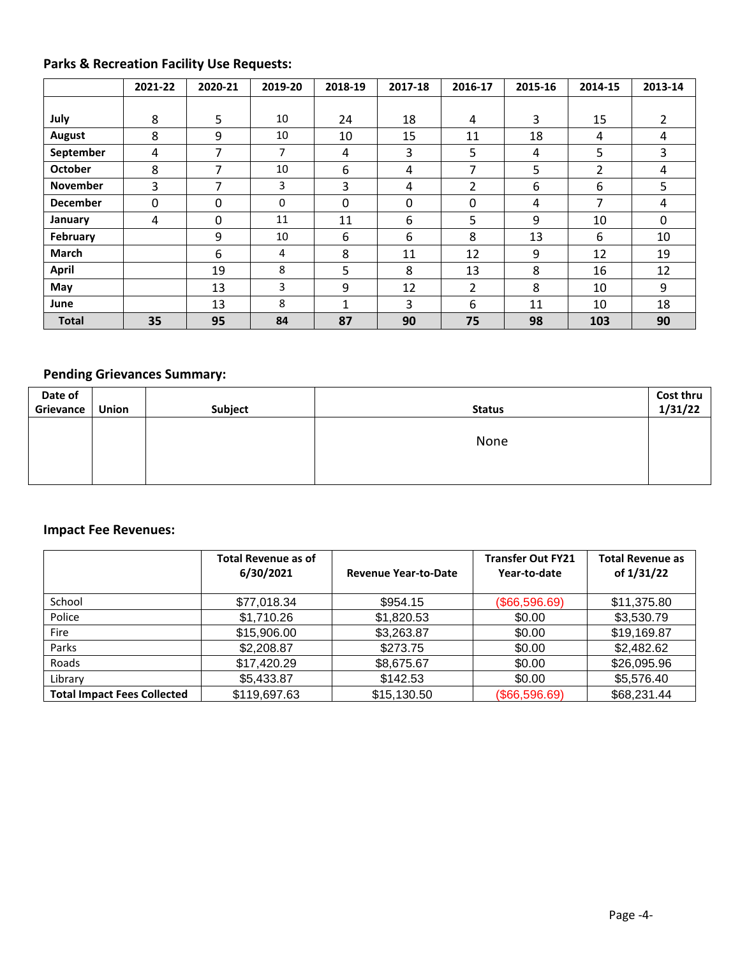## **Parks & Recreation Facility Use Requests:**

|                 | 2021-22      | 2020-21 | 2019-20 | 2018-19     | 2017-18 | 2016-17 | 2015-16 | 2014-15 | 2013-14        |
|-----------------|--------------|---------|---------|-------------|---------|---------|---------|---------|----------------|
|                 |              |         |         |             |         |         |         |         |                |
| July            | 8            | 5       | 10      | 24          | 18      | 4       | 3       | 15      | $\overline{2}$ |
| <b>August</b>   | 8            | 9       | 10      | 10          | 15      | 11      | 18      | 4       | 4              |
| September       | 4            | 7       | 7       | 4           | 3       | 5       | 4       | 5       | 3              |
| <b>October</b>  | 8            | 7       | 10      | 6           | 4       | 7       | 5       | 2       | 4              |
| <b>November</b> | 3            | 7       | 3       | 3           | 4       | 2       | 6       | 6       | 5              |
| <b>December</b> | $\mathbf{0}$ | 0       | 0       | 0           | 0       | 0       | 4       | 7       | 4              |
| January         | 4            | 0       | 11      | 11          | 6       | 5       | 9       | 10      | $\Omega$       |
| February        |              | 9       | 10      | 6           | 6       | 8       | 13      | 6       | 10             |
| <b>March</b>    |              | 6       | 4       | 8           | 11      | 12      | 9       | 12      | 19             |
| <b>April</b>    |              | 19      | 8       | 5           | 8       | 13      | 8       | 16      | 12             |
| May             |              | 13      | 3       | 9           | 12      | 2       | 8       | 10      | 9              |
| June            |              | 13      | 8       | $\mathbf 1$ | 3       | 6       | 11      | 10      | 18             |
| <b>Total</b>    | 35           | 95      | 84      | 87          | 90      | 75      | 98      | 103     | 90             |

## **Pending Grievances Summary:**

| Date of   |       |         |               | Cost thru |
|-----------|-------|---------|---------------|-----------|
| Grievance | Union | Subject | <b>Status</b> | 1/31/22   |
|           |       |         |               |           |
|           |       |         | None          |           |
|           |       |         |               |           |
|           |       |         |               |           |
|           |       |         |               |           |

#### **Impact Fee Revenues:**

|                                    | <b>Total Revenue as of</b><br>6/30/2021 | <b>Revenue Year-to-Date</b> | <b>Transfer Out FY21</b><br>Year-to-date | <b>Total Revenue as</b><br>of 1/31/22 |
|------------------------------------|-----------------------------------------|-----------------------------|------------------------------------------|---------------------------------------|
| School                             | \$77,018.34                             | \$954.15                    | (\$66,596.69)                            | \$11,375.80                           |
| Police                             | \$1,710.26                              | \$1,820.53                  | \$0.00                                   | \$3,530.79                            |
| Fire                               | \$15,906.00                             | \$3,263.87                  | \$0.00                                   | \$19,169.87                           |
| Parks                              | \$2,208.87                              | \$273.75                    | \$0.00                                   | \$2,482.62                            |
| Roads                              | \$17,420.29                             | \$8,675.67                  | \$0.00                                   | \$26,095.96                           |
| Library                            | \$5,433.87                              | \$142.53                    | \$0.00                                   | \$5,576.40                            |
| <b>Total Impact Fees Collected</b> | \$119,697.63                            | \$15,130.50                 | (\$66,596.69)                            | \$68,231.44                           |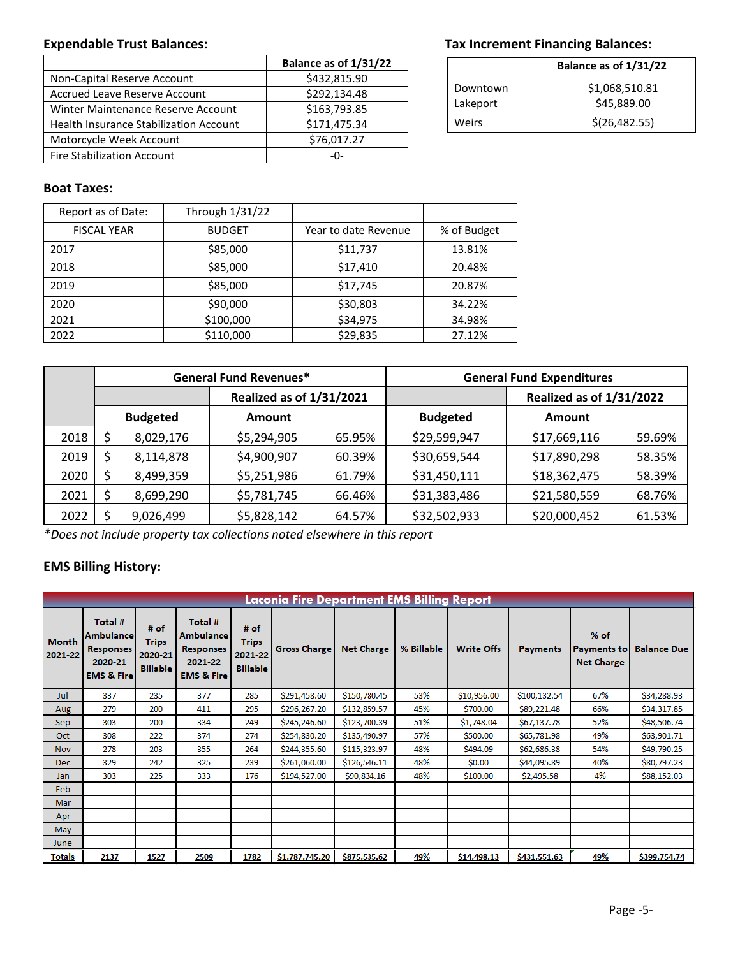|                                        | Balance as of 1/31/22 |
|----------------------------------------|-----------------------|
| Non-Capital Reserve Account            | \$432,815.90          |
| Accrued Leave Reserve Account          | \$292,134.48          |
| Winter Maintenance Reserve Account     | \$163,793.85          |
| Health Insurance Stabilization Account | \$171,475.34          |
| Motorcycle Week Account                | \$76,017.27           |
| <b>Fire Stabilization Account</b>      | -በ-                   |

#### Expendable Trust Balances: **Tax Increment Financing Balances:** Tax Increment Financing Balances:

|          | Balance as of 1/31/22 |  |  |  |  |
|----------|-----------------------|--|--|--|--|
| Downtown | \$1,068,510.81        |  |  |  |  |
| Lakeport | \$45,889.00           |  |  |  |  |
| Weirs    | \$(26, 482.55)        |  |  |  |  |

#### **Boat Taxes:**

| Report as of Date: | Through 1/31/22 |                      |             |  |
|--------------------|-----------------|----------------------|-------------|--|
| <b>FISCAL YEAR</b> | <b>BUDGET</b>   | Year to date Revenue | % of Budget |  |
| 2017               | \$85,000        | \$11,737             | 13.81%      |  |
| 2018               | \$85,000        | \$17,410             | 20.48%      |  |
| 2019               | \$85,000        | \$17,745             | 20.87%      |  |
| 2020               | \$90,000        | \$30,803             | 34.22%      |  |
| 2021               | \$100,000       | \$34,975             | 34.98%      |  |
| 2022               | \$110,000       | \$29,835             | 27.12%      |  |

|      |                                 |           | <b>General Fund Revenues*</b> |        | <b>General Fund Expenditures</b> |              |                 |               |  |
|------|---------------------------------|-----------|-------------------------------|--------|----------------------------------|--------------|-----------------|---------------|--|
|      | <b>Realized as of 1/31/2021</b> |           |                               |        | <b>Realized as of 1/31/2022</b>  |              |                 |               |  |
|      | <b>Budgeted</b>                 |           |                               |        | <b>Amount</b>                    |              | <b>Budgeted</b> | <b>Amount</b> |  |
| 2018 |                                 | 8,029,176 | \$5,294,905                   | 65.95% | \$29,599,947                     | \$17,669,116 | 59.69%          |               |  |
| 2019 |                                 | 8,114,878 | \$4,900,907                   | 60.39% | \$30,659,544                     | \$17,890,298 | 58.35%          |               |  |
| 2020 |                                 | 8,499,359 | \$5,251,986                   | 61.79% | \$31,450,111                     | \$18,362,475 | 58.39%          |               |  |
| 2021 |                                 | 8,699,290 | \$5,781,745                   | 66.46% | \$31,383,486                     | \$21,580,559 | 68.76%          |               |  |
| 2022 |                                 | 9,026,499 | \$5,828,142                   | 64.57% | \$32,502,933                     | \$20,000,452 | 61.53%          |               |  |

*\*Does not include property tax collections noted elsewhere in this report*

## **EMS Billing History:**

|                         | <b>Laconia Fire Department EMS Billing Report</b>                                    |                                                      |                                                                              |                                                    |                     |                   |            |                   |                 |                                                   |                    |  |
|-------------------------|--------------------------------------------------------------------------------------|------------------------------------------------------|------------------------------------------------------------------------------|----------------------------------------------------|---------------------|-------------------|------------|-------------------|-----------------|---------------------------------------------------|--------------------|--|
| <b>Month</b><br>2021-22 | Total #<br><b>Ambulance</b><br><b>Responses</b><br>2020-21<br><b>EMS &amp; Firel</b> | # $of$<br><b>Trips</b><br>2020-21<br><b>Billable</b> | Total #<br>Ambulance<br><b>Responses</b><br>2021-22<br><b>EMS &amp; Fire</b> | # of<br><b>Trips</b><br>2021-22<br><b>Billable</b> | <b>Gross Charge</b> | <b>Net Charge</b> | % Billable | <b>Write Offs</b> | <b>Payments</b> | $%$ of<br><b>Payments to</b><br><b>Net Charge</b> | <b>Balance Due</b> |  |
| Jul                     | 337                                                                                  | 235                                                  | 377                                                                          | 285                                                | \$291,458.60        | \$150,780.45      | 53%        | \$10,956.00       | \$100,132.54    | 67%                                               | \$34,288.93        |  |
| Aug                     | 279                                                                                  | 200                                                  | 411                                                                          | 295                                                | \$296,267.20        | \$132,859.57      | 45%        | \$700.00          | \$89,221.48     | 66%                                               | \$34,317.85        |  |
| Sep.                    | 303                                                                                  | 200                                                  | 334                                                                          | 249                                                | \$245,246.60        | \$123,700.39      | 51%        | \$1,748.04        | \$67,137.78     | 52%                                               | \$48,506.74        |  |
| Oct                     | 308                                                                                  | 222                                                  | 374                                                                          | 274                                                | \$254,830.20        | \$135,490.97      | 57%        | \$500.00          | \$65,781.98     | 49%                                               | \$63,901.71        |  |
| <b>Nov</b>              | 278                                                                                  | 203                                                  | 355                                                                          | 264                                                | \$244,355.60        | \$115,323.97      | 48%        | \$494.09          | \$62,686.38     | 54%                                               | \$49,790.25        |  |
| Dec.                    | 329                                                                                  | 242                                                  | 325                                                                          | 239                                                | \$261,060.00        | \$126,546.11      | 48%        | \$0.00            | \$44,095.89     | 40%                                               | \$80,797.23        |  |
| Jan                     | 303                                                                                  | 225                                                  | 333                                                                          | 176                                                | \$194,527.00        | \$90,834.16       | 48%        | \$100.00          | \$2,495.58      | 4%                                                | \$88,152.03        |  |
| Feb.                    |                                                                                      |                                                      |                                                                              |                                                    |                     |                   |            |                   |                 |                                                   |                    |  |
| Mar                     |                                                                                      |                                                      |                                                                              |                                                    |                     |                   |            |                   |                 |                                                   |                    |  |
| Apr                     |                                                                                      |                                                      |                                                                              |                                                    |                     |                   |            |                   |                 |                                                   |                    |  |
| May                     |                                                                                      |                                                      |                                                                              |                                                    |                     |                   |            |                   |                 |                                                   |                    |  |
| June                    |                                                                                      |                                                      |                                                                              |                                                    |                     |                   |            |                   |                 |                                                   |                    |  |
| <b>Totals</b>           | 2137                                                                                 | 1527                                                 | 2509                                                                         | 1782                                               | \$1,787,745.20      | \$875,535.62      | 49%        | \$14,498.13       | \$431,551.63    | 49%                                               | \$399,754.74       |  |